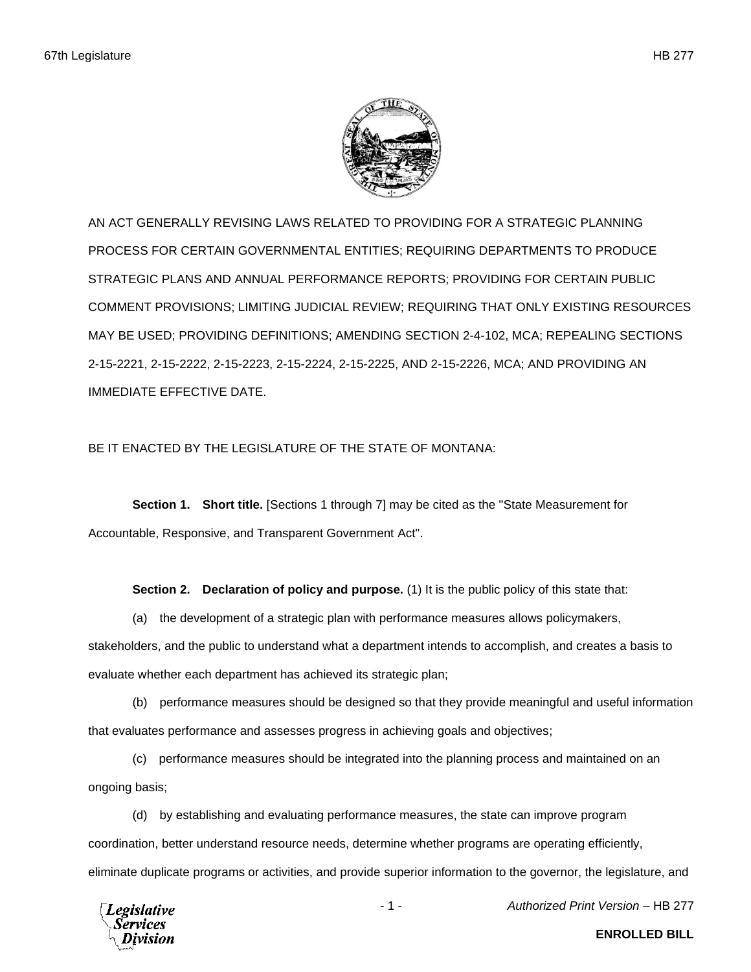

AN ACT GENERALLY REVISING LAWS RELATED TO PROVIDING FOR A STRATEGIC PLANNING PROCESS FOR CERTAIN GOVERNMENTAL ENTITIES; REQUIRING DEPARTMENTS TO PRODUCE STRATEGIC PLANS AND ANNUAL PERFORMANCE REPORTS; PROVIDING FOR CERTAIN PUBLIC COMMENT PROVISIONS; LIMITING JUDICIAL REVIEW; REQUIRING THAT ONLY EXISTING RESOURCES MAY BE USED; PROVIDING DEFINITIONS; AMENDING SECTION 2-4-102, MCA; REPEALING SECTIONS 2-15-2221, 2-15-2222, 2-15-2223, 2-15-2224, 2-15-2225, AND 2-15-2226, MCA; AND PROVIDING AN IMMEDIATE EFFECTIVE DATE.

## BE IT ENACTED BY THE LEGISLATURE OF THE STATE OF MONTANA:

**Section 1. Short title.** [Sections 1 through 7] may be cited as the "State Measurement for Accountable, Responsive, and Transparent Government Act".

**Section 2. Declaration of policy and purpose.** (1) It is the public policy of this state that:

(a) the development of a strategic plan with performance measures allows policymakers, stakeholders, and the public to understand what a department intends to accomplish, and creates a basis to evaluate whether each department has achieved its strategic plan;

(b) performance measures should be designed so that they provide meaningful and useful information that evaluates performance and assesses progress in achieving goals and objectives;

(c) performance measures should be integrated into the planning process and maintained on an ongoing basis;

(d) by establishing and evaluating performance measures, the state can improve program coordination, better understand resource needs, determine whether programs are operating efficiently, eliminate duplicate programs or activities, and provide superior information to the governor, the legislature, and



- 1 - *Authorized Print Version* – HB 277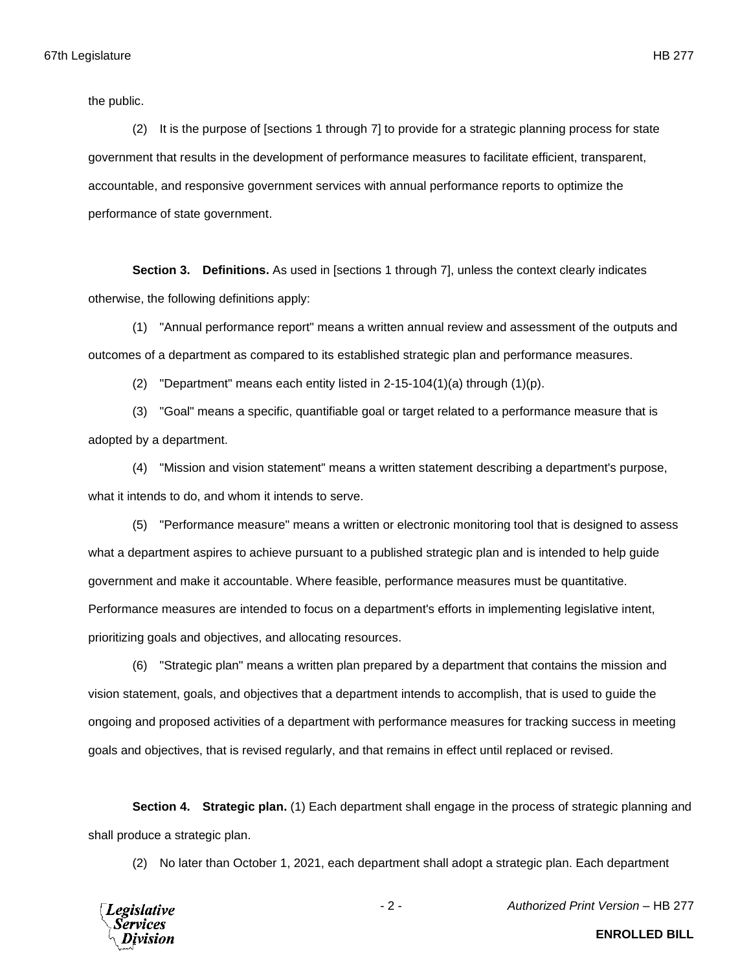the public.

(2) It is the purpose of [sections 1 through 7] to provide for a strategic planning process for state government that results in the development of performance measures to facilitate efficient, transparent, accountable, and responsive government services with annual performance reports to optimize the performance of state government.

**Section 3. Definitions.** As used in [sections 1 through 7], unless the context clearly indicates otherwise, the following definitions apply:

(1) "Annual performance report" means a written annual review and assessment of the outputs and outcomes of a department as compared to its established strategic plan and performance measures.

(2) "Department" means each entity listed in  $2-15-104(1)(a)$  through  $(1)(p)$ .

(3) "Goal" means a specific, quantifiable goal or target related to a performance measure that is adopted by a department.

(4) "Mission and vision statement" means a written statement describing a department's purpose, what it intends to do, and whom it intends to serve.

(5) "Performance measure" means a written or electronic monitoring tool that is designed to assess what a department aspires to achieve pursuant to a published strategic plan and is intended to help guide government and make it accountable. Where feasible, performance measures must be quantitative. Performance measures are intended to focus on a department's efforts in implementing legislative intent, prioritizing goals and objectives, and allocating resources.

(6) "Strategic plan" means a written plan prepared by a department that contains the mission and vision statement, goals, and objectives that a department intends to accomplish, that is used to guide the ongoing and proposed activities of a department with performance measures for tracking success in meeting goals and objectives, that is revised regularly, and that remains in effect until replaced or revised.

**Section 4. Strategic plan.** (1) Each department shall engage in the process of strategic planning and shall produce a strategic plan.

(2) No later than October 1, 2021, each department shall adopt a strategic plan. Each department



- 2 - *Authorized Print Version* – HB 277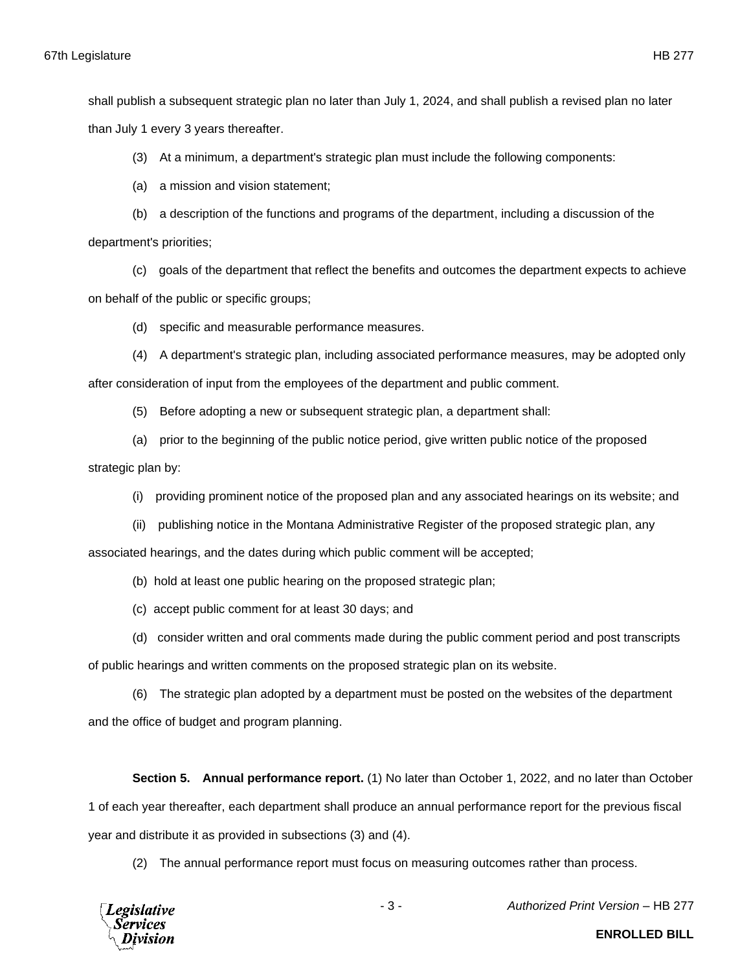shall publish a subsequent strategic plan no later than July 1, 2024, and shall publish a revised plan no later than July 1 every 3 years thereafter.

(3) At a minimum, a department's strategic plan must include the following components:

(a) a mission and vision statement;

(b) a description of the functions and programs of the department, including a discussion of the department's priorities;

(c) goals of the department that reflect the benefits and outcomes the department expects to achieve on behalf of the public or specific groups;

(d) specific and measurable performance measures.

(4) A department's strategic plan, including associated performance measures, may be adopted only after consideration of input from the employees of the department and public comment.

(5) Before adopting a new or subsequent strategic plan, a department shall:

(a) prior to the beginning of the public notice period, give written public notice of the proposed

strategic plan by:

(i) providing prominent notice of the proposed plan and any associated hearings on its website; and

(ii) publishing notice in the Montana Administrative Register of the proposed strategic plan, any

associated hearings, and the dates during which public comment will be accepted;

- (b) hold at least one public hearing on the proposed strategic plan;
- (c) accept public comment for at least 30 days; and
- (d) consider written and oral comments made during the public comment period and post transcripts

of public hearings and written comments on the proposed strategic plan on its website.

(6) The strategic plan adopted by a department must be posted on the websites of the department

and the office of budget and program planning.

**Section 5. Annual performance report.** (1) No later than October 1, 2022, and no later than October 1 of each year thereafter, each department shall produce an annual performance report for the previous fiscal year and distribute it as provided in subsections (3) and (4).

(2) The annual performance report must focus on measuring outcomes rather than process.

**Legislative Services** 

- 3 - *Authorized Print Version* – HB 277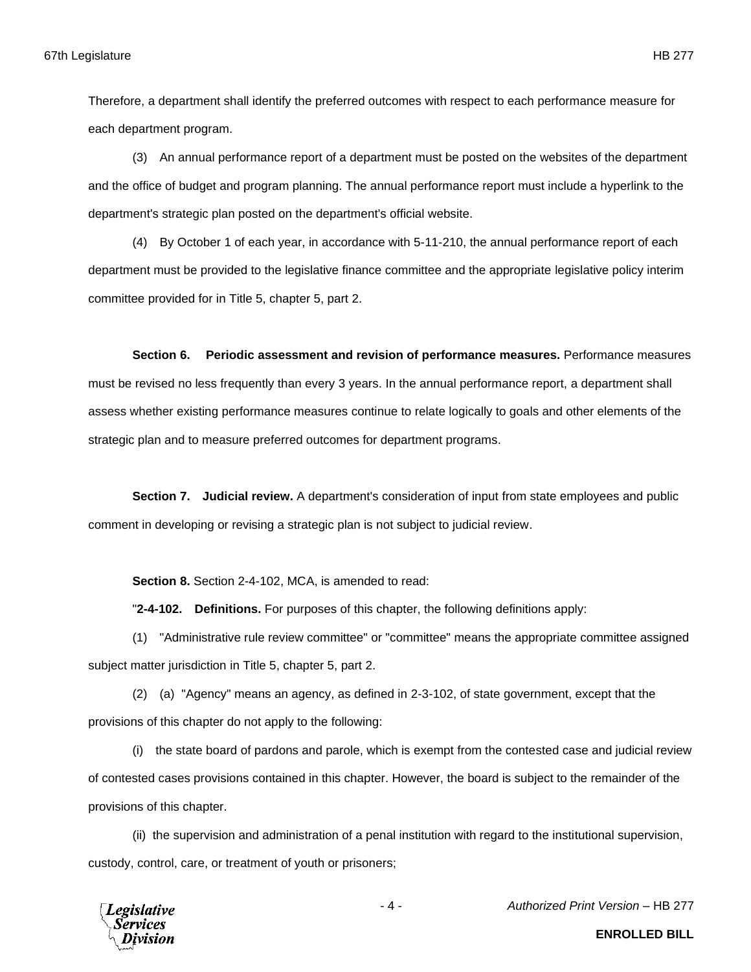Therefore, a department shall identify the preferred outcomes with respect to each performance measure for each department program.

(3) An annual performance report of a department must be posted on the websites of the department and the office of budget and program planning. The annual performance report must include a hyperlink to the department's strategic plan posted on the department's official website.

(4) By October 1 of each year, in accordance with 5-11-210, the annual performance report of each department must be provided to the legislative finance committee and the appropriate legislative policy interim committee provided for in Title 5, chapter 5, part 2.

**Section 6. Periodic assessment and revision of performance measures.** Performance measures must be revised no less frequently than every 3 years. In the annual performance report, a department shall assess whether existing performance measures continue to relate logically to goals and other elements of the strategic plan and to measure preferred outcomes for department programs.

**Section 7. Judicial review.** A department's consideration of input from state employees and public comment in developing or revising a strategic plan is not subject to judicial review.

**Section 8.** Section 2-4-102, MCA, is amended to read:

"**2-4-102. Definitions.** For purposes of this chapter, the following definitions apply:

(1) "Administrative rule review committee" or "committee" means the appropriate committee assigned subject matter jurisdiction in Title 5, chapter 5, part 2.

(2) (a) "Agency" means an agency, as defined in 2-3-102, of state government, except that the provisions of this chapter do not apply to the following:

(i) the state board of pardons and parole, which is exempt from the contested case and judicial review of contested cases provisions contained in this chapter. However, the board is subject to the remainder of the provisions of this chapter.

(ii) the supervision and administration of a penal institution with regard to the institutional supervision, custody, control, care, or treatment of youth or prisoners;

**Legislative** Services

- 4 - *Authorized Print Version* – HB 277

**ENROLLED BILL**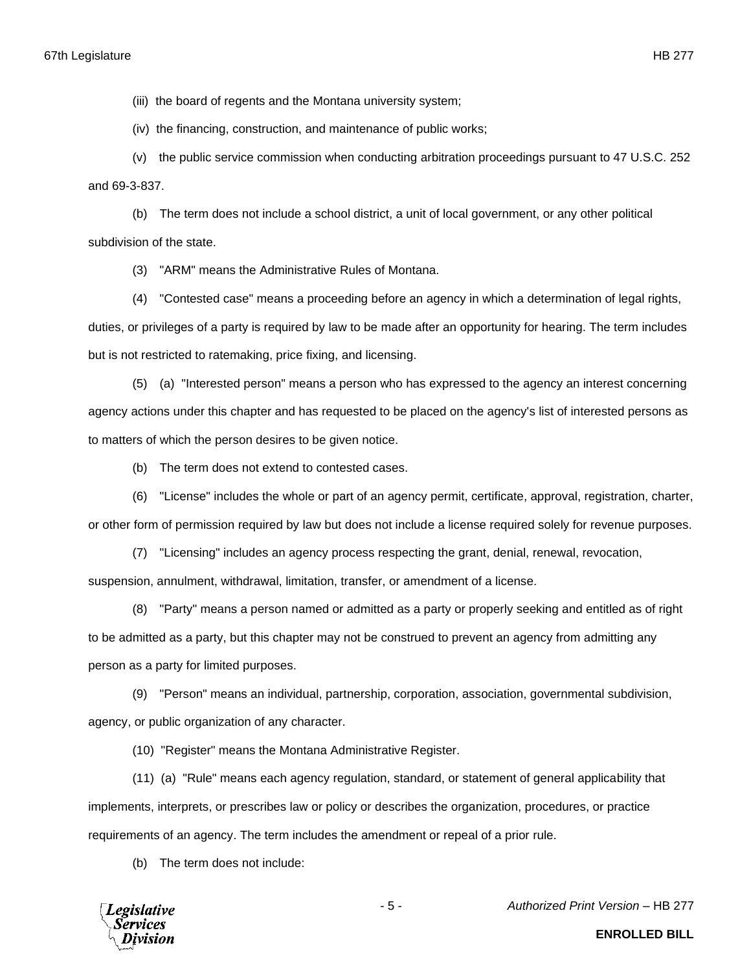(iii) the board of regents and the Montana university system;

(iv) the financing, construction, and maintenance of public works;

(v) the public service commission when conducting arbitration proceedings pursuant to 47 U.S.C. 252 and 69-3-837.

(b) The term does not include a school district, a unit of local government, or any other political subdivision of the state.

(3) "ARM" means the Administrative Rules of Montana.

(4) "Contested case" means a proceeding before an agency in which a determination of legal rights, duties, or privileges of a party is required by law to be made after an opportunity for hearing. The term includes but is not restricted to ratemaking, price fixing, and licensing.

(5) (a) "Interested person" means a person who has expressed to the agency an interest concerning agency actions under this chapter and has requested to be placed on the agency's list of interested persons as to matters of which the person desires to be given notice.

(b) The term does not extend to contested cases.

(6) "License" includes the whole or part of an agency permit, certificate, approval, registration, charter, or other form of permission required by law but does not include a license required solely for revenue purposes.

(7) "Licensing" includes an agency process respecting the grant, denial, renewal, revocation, suspension, annulment, withdrawal, limitation, transfer, or amendment of a license.

(8) "Party" means a person named or admitted as a party or properly seeking and entitled as of right to be admitted as a party, but this chapter may not be construed to prevent an agency from admitting any person as a party for limited purposes.

(9) "Person" means an individual, partnership, corporation, association, governmental subdivision, agency, or public organization of any character.

(10) "Register" means the Montana Administrative Register.

(11) (a) "Rule" means each agency regulation, standard, or statement of general applicability that implements, interprets, or prescribes law or policy or describes the organization, procedures, or practice requirements of an agency. The term includes the amendment or repeal of a prior rule.

(b) The term does not include:



- 5 - *Authorized Print Version* – HB 277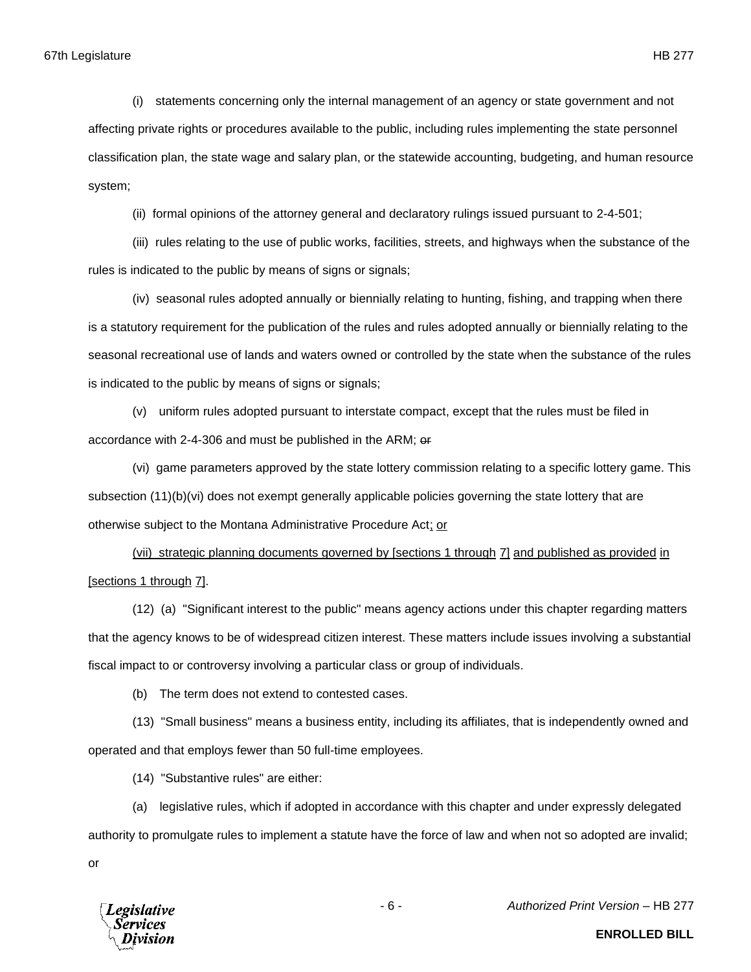(i) statements concerning only the internal management of an agency or state government and not affecting private rights or procedures available to the public, including rules implementing the state personnel classification plan, the state wage and salary plan, or the statewide accounting, budgeting, and human resource system;

(ii) formal opinions of the attorney general and declaratory rulings issued pursuant to 2-4-501;

(iii) rules relating to the use of public works, facilities, streets, and highways when the substance of the rules is indicated to the public by means of signs or signals;

(iv) seasonal rules adopted annually or biennially relating to hunting, fishing, and trapping when there is a statutory requirement for the publication of the rules and rules adopted annually or biennially relating to the seasonal recreational use of lands and waters owned or controlled by the state when the substance of the rules is indicated to the public by means of signs or signals;

(v) uniform rules adopted pursuant to interstate compact, except that the rules must be filed in accordance with 2-4-306 and must be published in the ARM; or

(vi) game parameters approved by the state lottery commission relating to a specific lottery game. This subsection (11)(b)(vi) does not exempt generally applicable policies governing the state lottery that are otherwise subject to the Montana Administrative Procedure Act; or

(vii) strategic planning documents governed by [sections 1 through 7] and published as provided in [sections 1 through 7].

(12) (a) "Significant interest to the public" means agency actions under this chapter regarding matters that the agency knows to be of widespread citizen interest. These matters include issues involving a substantial fiscal impact to or controversy involving a particular class or group of individuals.

(b) The term does not extend to contested cases.

(13) "Small business" means a business entity, including its affiliates, that is independently owned and operated and that employs fewer than 50 full-time employees.

(14) "Substantive rules" are either:

(a) legislative rules, which if adopted in accordance with this chapter and under expressly delegated authority to promulgate rules to implement a statute have the force of law and when not so adopted are invalid;

or



**ENROLLED BILL**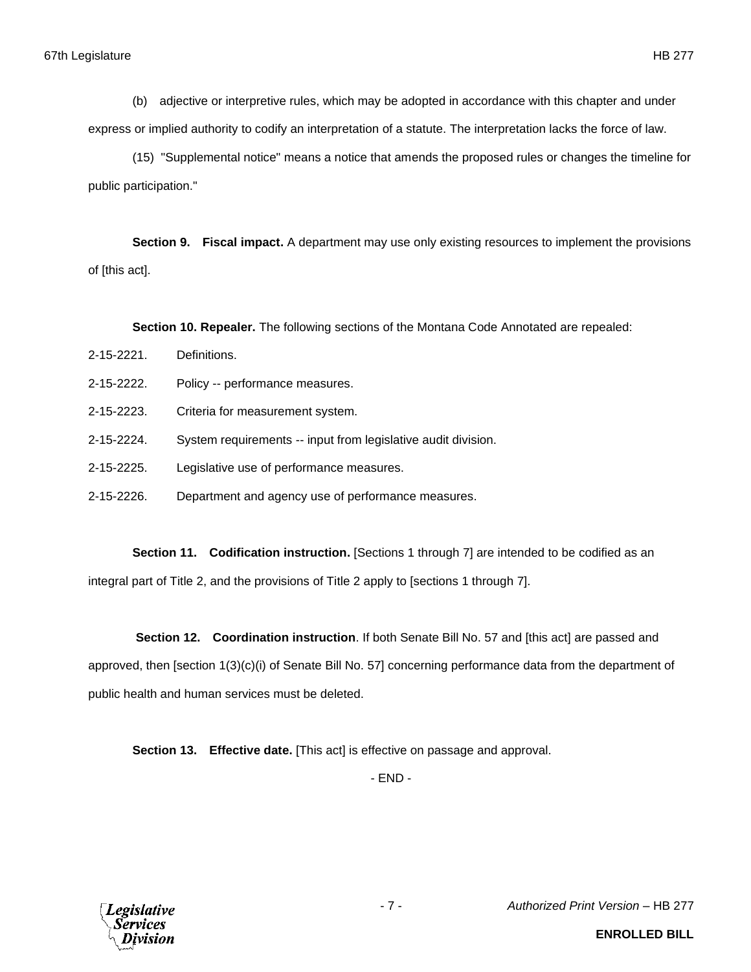(b) adjective or interpretive rules, which may be adopted in accordance with this chapter and under express or implied authority to codify an interpretation of a statute. The interpretation lacks the force of law.

(15) "Supplemental notice" means a notice that amends the proposed rules or changes the timeline for public participation."

**Section 9. Fiscal impact.** A department may use only existing resources to implement the provisions of [this act].

**Section 10. Repealer.** The following sections of the Montana Code Annotated are repealed:

- 2-15-2221. Definitions.
- 2-15-2222. Policy -- performance measures.
- 2-15-2223. Criteria for measurement system.
- 2-15-2224. System requirements -- input from legislative audit division.
- 2-15-2225. Legislative use of performance measures.
- 2-15-2226. Department and agency use of performance measures.

**Section 11. Codification instruction.** [Sections 1 through 7] are intended to be codified as an integral part of Title 2, and the provisions of Title 2 apply to [sections 1 through 7].

**Section 12. Coordination instruction**. If both Senate Bill No. 57 and [this act] are passed and approved, then [section 1(3)(c)(i) of Senate Bill No. 57] concerning performance data from the department of public health and human services must be deleted.

**Section 13. Effective date.** [This act] is effective on passage and approval.

- END -



- 7 - *Authorized Print Version* – HB 277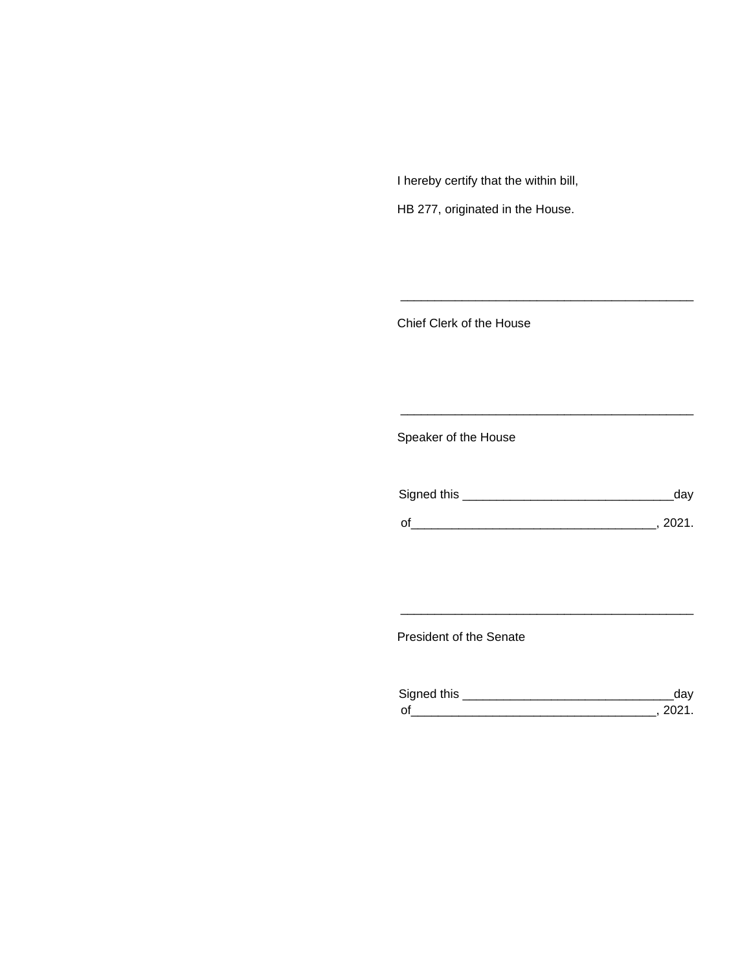I hereby certify that the within bill,

HB 277, originated in the House.

Chief Clerk of the House

Speaker of the House

| Signed this | dav    |
|-------------|--------|
| $\Omega$    | - 2021 |

\_\_\_\_\_\_\_\_\_\_\_\_\_\_\_\_\_\_\_\_\_\_\_\_\_\_\_\_\_\_\_\_\_\_\_\_\_\_\_\_\_\_\_

\_\_\_\_\_\_\_\_\_\_\_\_\_\_\_\_\_\_\_\_\_\_\_\_\_\_\_\_\_\_\_\_\_\_\_\_\_\_\_\_\_\_\_

President of the Senate

| Sianed this |  |
|-------------|--|
| $\Omega$    |  |

\_\_\_\_\_\_\_\_\_\_\_\_\_\_\_\_\_\_\_\_\_\_\_\_\_\_\_\_\_\_\_\_\_\_\_\_\_\_\_\_\_\_\_